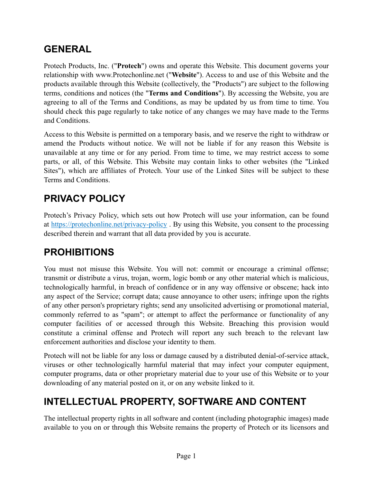## **GENERAL**

Protech Products, Inc. ("**Protech**") owns and operate this Website. This document governs your relationship with www.Protechonline.net ("**Website**"). Access to and use of this Website and the products available through this Website (collectively, the "Products") are subject to the following terms, conditions and notices (the "**Terms and Conditions**"). By accessing the Website, you are agreeing to all of the Terms and Conditions, as may be updated by us from time to time. You should check this page regularly to take notice of any changes we may have made to the Terms and Conditions.

Access to this Website is permitted on a temporary basis, and we reserve the right to withdraw or amend the Products without notice. We will not be liable if for any reason this Website is unavailable at any time or for any period. From time to time, we may restrict access to some parts, or all, of this Website. This Website may contain links to other websites (the "Linked Sites"), which are affiliates of Protech. Your use of the Linked Sites will be subject to these Terms and Conditions.

## **PRIVACY POLICY**

Protech's Privacy Policy, which sets out how Protech will use your information, can be found at <https://protechonline.net/privacy-policy> . By using this Website, you consent to the processing described therein and warrant that all data provided by you is accurate.

#### **PROHIBITIONS**

You must not misuse this Website. You will not: commit or encourage a criminal offense; transmit or distribute a virus, trojan, worm, logic bomb or any other material which is malicious, technologically harmful, in breach of confidence or in any way offensive or obscene; hack into any aspect of the Service; corrupt data; cause annoyance to other users; infringe upon the rights of any other person's proprietary rights; send any unsolicited advertising or promotional material, commonly referred to as "spam"; or attempt to affect the performance or functionality of any computer facilities of or accessed through this Website. Breaching this provision would constitute a criminal offense and Protech will report any such breach to the relevant law enforcement authorities and disclose your identity to them.

Protech will not be liable for any loss or damage caused by a distributed denial-of-service attack, viruses or other technologically harmful material that may infect your computer equipment, computer programs, data or other proprietary material due to your use of this Website or to your downloading of any material posted on it, or on any website linked to it.

## **INTELLECTUAL PROPERTY, SOFTWARE AND CONTENT**

The intellectual property rights in all software and content (including photographic images) made available to you on or through this Website remains the property of Protech or its licensors and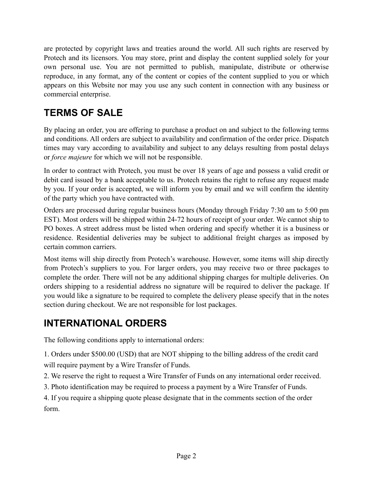are protected by copyright laws and treaties around the world. All such rights are reserved by Protech and its licensors. You may store, print and display the content supplied solely for your own personal use. You are not permitted to publish, manipulate, distribute or otherwise reproduce, in any format, any of the content or copies of the content supplied to you or which appears on this Website nor may you use any such content in connection with any business or commercial enterprise.

## **TERMS OF SALE**

By placing an order, you are offering to purchase a product on and subject to the following terms and conditions. All orders are subject to availability and confirmation of the order price. Dispatch times may vary according to availability and subject to any delays resulting from postal delays or *force majeure* for which we will not be responsible.

In order to contract with Protech, you must be over 18 years of age and possess a valid credit or debit card issued by a bank acceptable to us. Protech retains the right to refuse any request made by you. If your order is accepted, we will inform you by email and we will confirm the identity of the party which you have contracted with.

Orders are processed during regular business hours (Monday through Friday 7:30 am to 5:00 pm EST). Most orders will be shipped within 24-72 hours of receipt of your order. We cannot ship to PO boxes. A street address must be listed when ordering and specify whether it is a business or residence. Residential deliveries may be subject to additional freight charges as imposed by certain common carriers.

Most items will ship directly from Protech's warehouse. However, some items will ship directly from Protech's suppliers to you. For larger orders, you may receive two or three packages to complete the order. There will not be any additional shipping charges for multiple deliveries. On orders shipping to a residential address no signature will be required to deliver the package. If you would like a signature to be required to complete the delivery please specify that in the notes section during checkout. We are not responsible for lost packages.

## **INTERNATIONAL ORDERS**

The following conditions apply to international orders:

1. Orders under \$500.00 (USD) that are NOT shipping to the billing address of the credit card will require payment by a Wire Transfer of Funds.

2. We reserve the right to request a Wire Transfer of Funds on any international order received.

3. Photo identification may be required to process a payment by a Wire Transfer of Funds.

4. If you require a shipping quote please designate that in the comments section of the order form.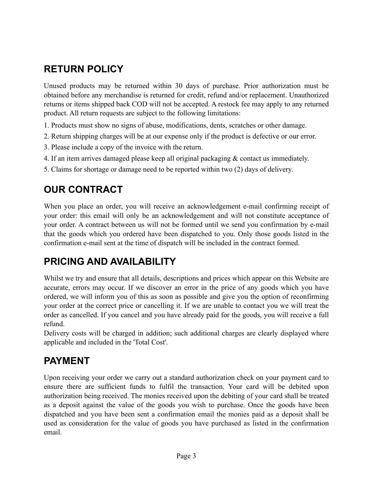# **RETURN POLICY**

Unused products may be returned within 30 days of purchase. Prior authorization must be obtained before any merchandise is returned for credit, refund and/or replacement. Unauthorized returns or items shipped back COD will not be accepted. A restock fee may apply to any returned product. All return requests are subject to the following limitations:

- 1. Products must show no signs of abuse, modifications, dents, scratches or other damage.
- 2. Return shipping charges will be at our expense only if the product is defective or our error.
- 3. Please include a copy of the invoice with the return.
- 4. If an item arrives damaged please keep all original packaging & contact us immediately.
- 5. Claims for shortage or damage need to be reported within two (2) days of delivery.

## **OUR CONTRACT**

When you place an order, you will receive an acknowledgement e-mail confirming receipt of your order: this email will only be an acknowledgement and will not constitute acceptance of your order. A contract between us will not be formed until we send you confirmation by e-mail that the goods which you ordered have been dispatched to you. Only those goods listed in the confirmation e-mail sent at the time of dispatch will be included in the contract formed.

#### **PRICING AND AVAILABILITY**

Whilst we try and ensure that all details, descriptions and prices which appear on this Website are accurate, errors may occur. If we discover an error in the price of any goods which you have ordered, we will inform you of this as soon as possible and give you the option of reconfirming your order at the correct price or cancelling it. If we are unable to contact you we will treat the order as cancelled. If you cancel and you have already paid for the goods, you will receive a full refund.

Delivery costs will be charged in addition; such additional charges are clearly displayed where applicable and included in the 'Total Cost'.

#### **PAYMENT**

Upon receiving your order we carry out a standard authorization check on your payment card to ensure there are sufficient funds to fulfil the transaction. Your card will be debited upon authorization being received. The monies received upon the debiting of your card shall be treated as a deposit against the value of the goods you wish to purchase. Once the goods have been dispatched and you have been sent a confirmation email the monies paid as a deposit shall be used as consideration for the value of goods you have purchased as listed in the confirmation email.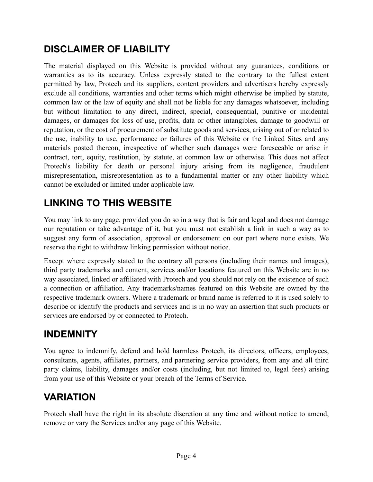### **DISCLAIMER OF LIABILITY**

The material displayed on this Website is provided without any guarantees, conditions or warranties as to its accuracy. Unless expressly stated to the contrary to the fullest extent permitted by law, Protech and its suppliers, content providers and advertisers hereby expressly exclude all conditions, warranties and other terms which might otherwise be implied by statute, common law or the law of equity and shall not be liable for any damages whatsoever, including but without limitation to any direct, indirect, special, consequential, punitive or incidental damages, or damages for loss of use, profits, data or other intangibles, damage to goodwill or reputation, or the cost of procurement of substitute goods and services, arising out of or related to the use, inability to use, performance or failures of this Website or the Linked Sites and any materials posted thereon, irrespective of whether such damages were foreseeable or arise in contract, tort, equity, restitution, by statute, at common law or otherwise. This does not affect Protech's liability for death or personal injury arising from its negligence, fraudulent misrepresentation, misrepresentation as to a fundamental matter or any other liability which cannot be excluded or limited under applicable law.

## **LINKING TO THIS WEBSITE**

You may link to any page, provided you do so in a way that is fair and legal and does not damage our reputation or take advantage of it, but you must not establish a link in such a way as to suggest any form of association, approval or endorsement on our part where none exists. We reserve the right to withdraw linking permission without notice.

Except where expressly stated to the contrary all persons (including their names and images), third party trademarks and content, services and/or locations featured on this Website are in no way associated, linked or affiliated with Protech and you should not rely on the existence of such a connection or affiliation. Any trademarks/names featured on this Website are owned by the respective trademark owners. Where a trademark or brand name is referred to it is used solely to describe or identify the products and services and is in no way an assertion that such products or services are endorsed by or connected to Protech.

#### **INDEMNITY**

You agree to indemnify, defend and hold harmless Protech, its directors, officers, employees, consultants, agents, affiliates, partners, and partnering service providers, from any and all third party claims, liability, damages and/or costs (including, but not limited to, legal fees) arising from your use of this Website or your breach of the Terms of Service.

## **VARIATION**

Protech shall have the right in its absolute discretion at any time and without notice to amend, remove or vary the Services and/or any page of this Website.